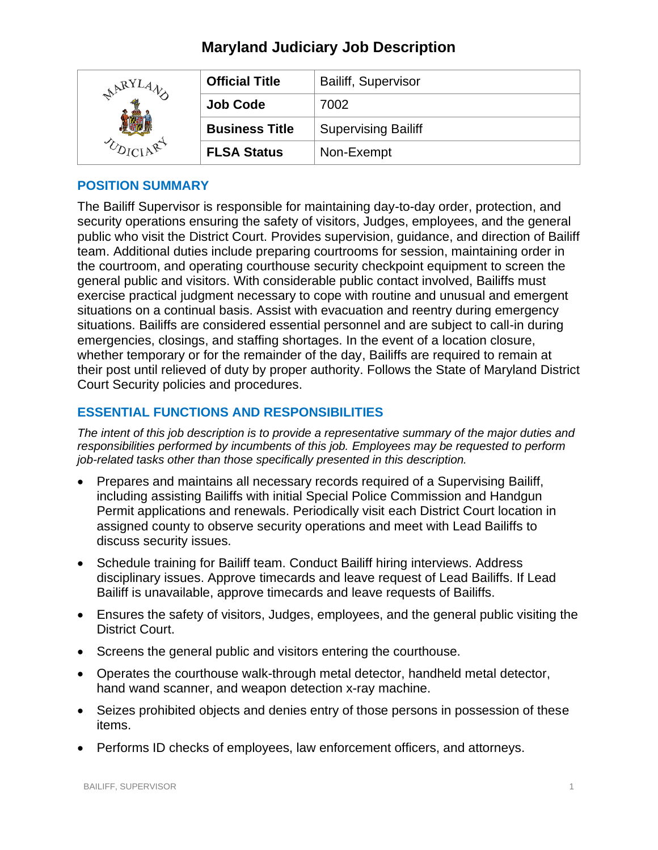| $ARYLA$ . | <b>Official Title</b> | <b>Bailiff, Supervisor</b> |
|-----------|-----------------------|----------------------------|
|           | <b>Job Code</b>       | 7002                       |
|           | <b>Business Title</b> | <b>Supervising Bailiff</b> |
|           | <b>FLSA Status</b>    | Non-Exempt                 |

# **POSITION SUMMARY**

The Bailiff Supervisor is responsible for maintaining day-to-day order, protection, and security operations ensuring the safety of visitors, Judges, employees, and the general public who visit the District Court. Provides supervision, guidance, and direction of Bailiff team. Additional duties include preparing courtrooms for session, maintaining order in the courtroom, and operating courthouse security checkpoint equipment to screen the general public and visitors. With considerable public contact involved, Bailiffs must exercise practical judgment necessary to cope with routine and unusual and emergent situations on a continual basis. Assist with evacuation and reentry during emergency situations. Bailiffs are considered essential personnel and are subject to call-in during emergencies, closings, and staffing shortages. In the event of a location closure, whether temporary or for the remainder of the day, Bailiffs are required to remain at their post until relieved of duty by proper authority. Follows the State of Maryland District Court Security policies and procedures.

# **ESSENTIAL FUNCTIONS AND RESPONSIBILITIES**

*The intent of this job description is to provide a representative summary of the major duties and responsibilities performed by incumbents of this job. Employees may be requested to perform job-related tasks other than those specifically presented in this description.*

- Prepares and maintains all necessary records required of a Supervising Bailiff, including assisting Bailiffs with initial Special Police Commission and Handgun Permit applications and renewals. Periodically visit each District Court location in assigned county to observe security operations and meet with Lead Bailiffs to discuss security issues.
- Schedule training for Bailiff team. Conduct Bailiff hiring interviews. Address disciplinary issues. Approve timecards and leave request of Lead Bailiffs. If Lead Bailiff is unavailable, approve timecards and leave requests of Bailiffs.
- Ensures the safety of visitors, Judges, employees, and the general public visiting the District Court.
- Screens the general public and visitors entering the courthouse.
- Operates the courthouse walk-through metal detector, handheld metal detector, hand wand scanner, and weapon detection x-ray machine.
- Seizes prohibited objects and denies entry of those persons in possession of these items.
- Performs ID checks of employees, law enforcement officers, and attorneys.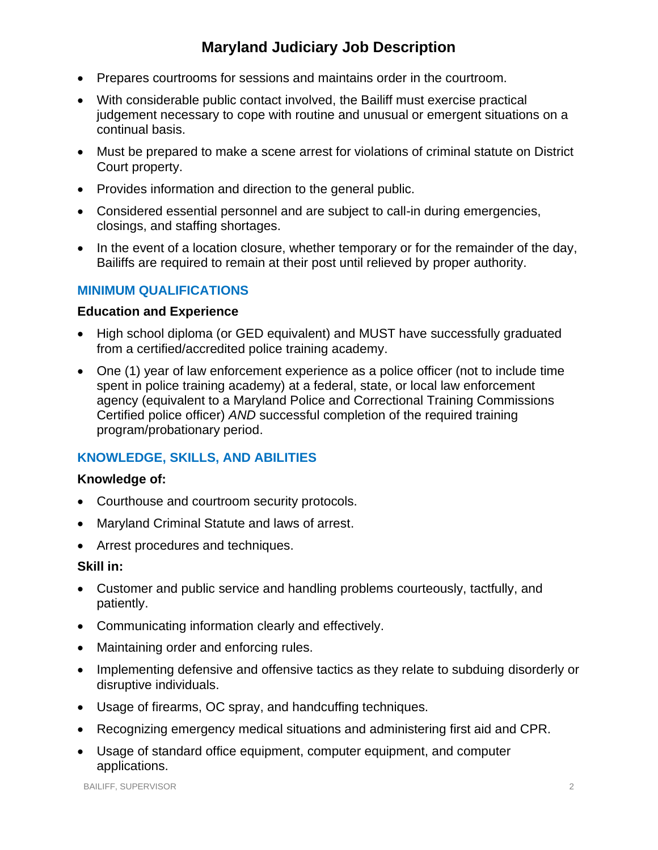- Prepares courtrooms for sessions and maintains order in the courtroom.
- With considerable public contact involved, the Bailiff must exercise practical judgement necessary to cope with routine and unusual or emergent situations on a continual basis.
- Must be prepared to make a scene arrest for violations of criminal statute on District Court property.
- Provides information and direction to the general public.
- Considered essential personnel and are subject to call-in during emergencies, closings, and staffing shortages.
- In the event of a location closure, whether temporary or for the remainder of the day, Bailiffs are required to remain at their post until relieved by proper authority.

## **MINIMUM QUALIFICATIONS**

#### **Education and Experience**

- High school diploma (or GED equivalent) and MUST have successfully graduated from a certified/accredited police training academy.
- One (1) year of law enforcement experience as a police officer (not to include time spent in police training academy) at a federal, state, or local law enforcement agency (equivalent to a Maryland Police and Correctional Training Commissions Certified police officer) *AND* successful completion of the required training program/probationary period.

# **KNOWLEDGE, SKILLS, AND ABILITIES**

#### **Knowledge of:**

- Courthouse and courtroom security protocols.
- Maryland Criminal Statute and laws of arrest.
- Arrest procedures and techniques.

#### **Skill in:**

- Customer and public service and handling problems courteously, tactfully, and patiently.
- Communicating information clearly and effectively.
- Maintaining order and enforcing rules.
- Implementing defensive and offensive tactics as they relate to subduing disorderly or disruptive individuals.
- Usage of firearms, OC spray, and handcuffing techniques.
- Recognizing emergency medical situations and administering first aid and CPR.
- Usage of standard office equipment, computer equipment, and computer applications.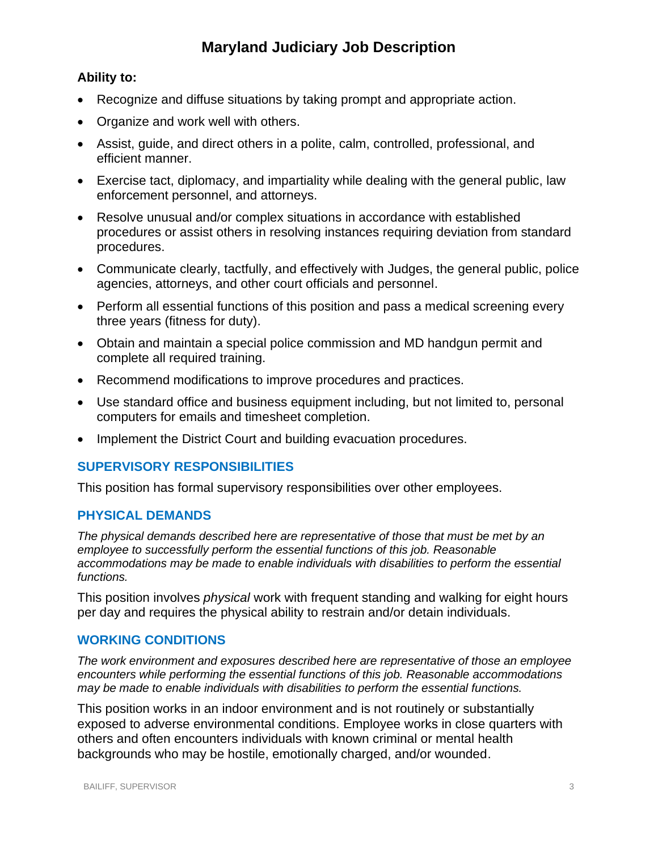# **Ability to:**

- Recognize and diffuse situations by taking prompt and appropriate action.
- Organize and work well with others.
- Assist, guide, and direct others in a polite, calm, controlled, professional, and efficient manner.
- Exercise tact, diplomacy, and impartiality while dealing with the general public, law enforcement personnel, and attorneys.
- Resolve unusual and/or complex situations in accordance with established procedures or assist others in resolving instances requiring deviation from standard procedures.
- Communicate clearly, tactfully, and effectively with Judges, the general public, police agencies, attorneys, and other court officials and personnel.
- Perform all essential functions of this position and pass a medical screening every three years (fitness for duty).
- Obtain and maintain a special police commission and MD handgun permit and complete all required training.
- Recommend modifications to improve procedures and practices.
- Use standard office and business equipment including, but not limited to, personal computers for emails and timesheet completion.
- Implement the District Court and building evacuation procedures.

# **SUPERVISORY RESPONSIBILITIES**

This position has formal supervisory responsibilities over other employees.

## **PHYSICAL DEMANDS**

*The physical demands described here are representative of those that must be met by an employee to successfully perform the essential functions of this job. Reasonable accommodations may be made to enable individuals with disabilities to perform the essential functions.*

This position involves *physical* work with frequent standing and walking for eight hours per day and requires the physical ability to restrain and/or detain individuals.

## **WORKING CONDITIONS**

*The work environment and exposures described here are representative of those an employee encounters while performing the essential functions of this job. Reasonable accommodations may be made to enable individuals with disabilities to perform the essential functions.*

This position works in an indoor environment and is not routinely or substantially exposed to adverse environmental conditions. Employee works in close quarters with others and often encounters individuals with known criminal or mental health backgrounds who may be hostile, emotionally charged, and/or wounded.